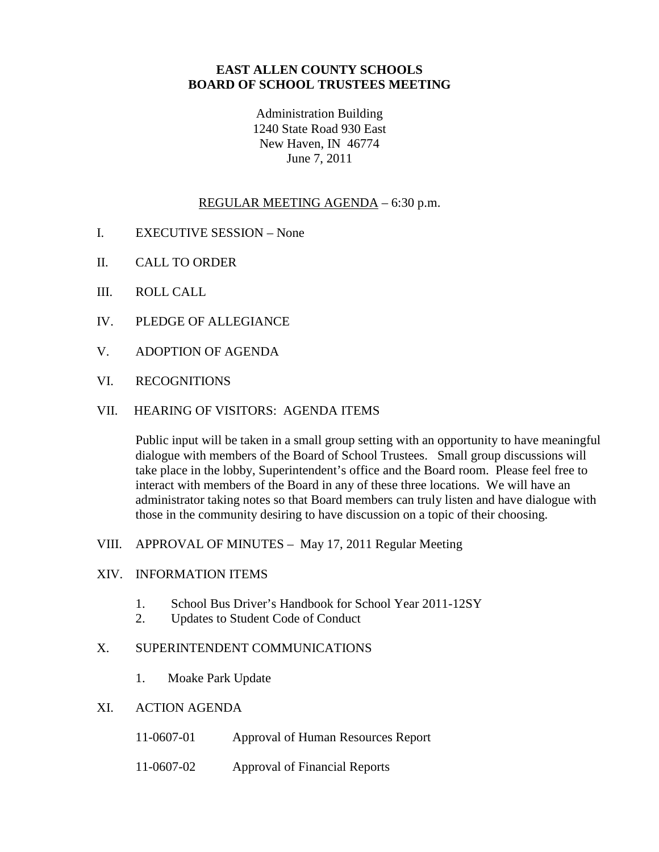# **EAST ALLEN COUNTY SCHOOLS BOARD OF SCHOOL TRUSTEES MEETING**

Administration Building 1240 State Road 930 East New Haven, IN 46774 June 7, 2011

#### REGULAR MEETING AGENDA – 6:30 p.m.

- I. EXECUTIVE SESSION None
- II. CALL TO ORDER
- III. ROLL CALL
- IV. PLEDGE OF ALLEGIANCE
- V. ADOPTION OF AGENDA
- VI. RECOGNITIONS

# VII. HEARING OF VISITORS: AGENDA ITEMS

Public input will be taken in a small group setting with an opportunity to have meaningful dialogue with members of the Board of School Trustees. Small group discussions will take place in the lobby, Superintendent's office and the Board room. Please feel free to interact with members of the Board in any of these three locations. We will have an administrator taking notes so that Board members can truly listen and have dialogue with those in the community desiring to have discussion on a topic of their choosing.

VIII. APPROVAL OF MINUTES – May 17, 2011 Regular Meeting

#### XIV. INFORMATION ITEMS

- 1. School Bus Driver's Handbook for School Year 2011-12SY
- 2. Updates to Student Code of Conduct

## X. SUPERINTENDENT COMMUNICATIONS

- 1. Moake Park Update
- XI. ACTION AGENDA
	- 11-0607-01 Approval of Human Resources Report
	- 11-0607-02 Approval of Financial Reports